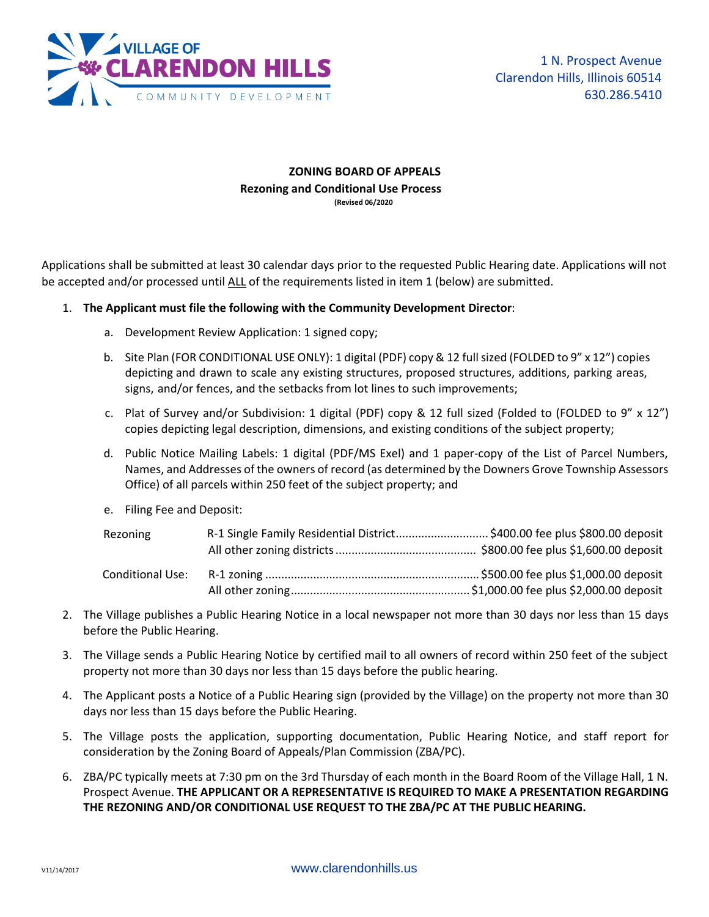

## **ZONING BOARD OF APPEALS Rezoning and Conditional Use Process (Revised 06/2020)**

Applications shall be submitted at least 30 calendar days prior to the requested Public Hearing date. Applications will not be accepted and/or processed until ALL of the requirements listed in item 1 (below) are submitted.

## 1. **The Applicant must file the following with the Community Development Director**:

- a. Development Review Application: 1 signed copy;
- b. Site Plan (FOR CONDITIONAL USE ONLY): 1 digital (PDF) copy & 12 full sized (FOLDED to 9" x 12") copies depicting and drawn to scale any existing structures, proposed structures, additions, parking areas, signs, and/or fences, and the setbacks from lot lines to such improvements;
- c. Plat of Survey and/or Subdivision: 1 digital (PDF) copy & 12 full sized (Folded to (FOLDED to 9" x 12") copies depicting legal description, dimensions, and existing conditions of the subject property;
- d. Public Notice Mailing Labels: 1 digital (PDF/MS Exel) and 1 paper-copy of the List of Parcel Numbers, Names, and Addresses of the owners of record (as determined by the Downers Grove Township Assessors Office) of all parcels within 250 feet of the subject property; and
- e. Filing Fee and Deposit:

| Rezoning                | R-1 Single Family Residential District \$400.00 fee plus \$800.00 deposit |  |
|-------------------------|---------------------------------------------------------------------------|--|
|                         |                                                                           |  |
| <b>Conditional Use:</b> |                                                                           |  |
|                         |                                                                           |  |

- 2. The Village publishes a Public Hearing Notice in a local newspaper not more than 30 days nor less than 15 days before the Public Hearing.
- 3. The Village sends a Public Hearing Notice by certified mail to all owners of record within 250 feet of the subject property not more than 30 days nor less than 15 days before the public hearing.
- 4. The Applicant posts a Notice of a Public Hearing sign (provided by the Village) on the property not more than 30 days nor less than 15 days before the Public Hearing.
- 5. The Village posts the application, supporting documentation, Public Hearing Notice, and staff report for consideration by the Zoning Board of Appeals/Plan Commission (ZBA/PC).
- 6. ZBA/PC typically meets at 7:30 pm on the 3rd Thursday of each month in the Board Room of the Village Hall, 1 N. Prospect Avenue. **THE APPLICANT OR A REPRESENTATIVE IS REQUIRED TO MAKE A PRESENTATION REGARDING THE REZONING AND/OR CONDITIONAL USE REQUEST TO THE ZBA/PC AT THE PUBLIC HEARING.**